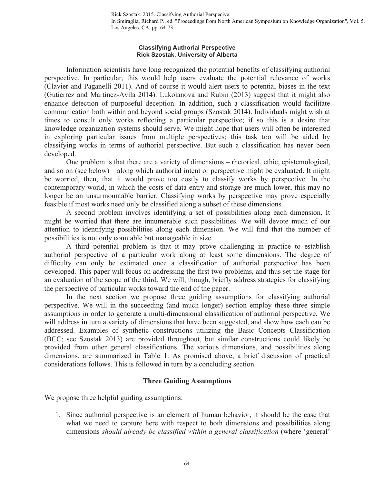#### **Classifying Authorial Perspective Rick Szostak, University of Alberta**

Information scientists have long recognized the potential benefits of classifying authorial perspective. In particular, this would help users evaluate the potential relevance of works (Clavier and Paganelli 2011). And of course it would alert users to potential biases in the text (Gutierrez and Martinez-Avila 2014). Lukoianova and Rubin (2013) suggest that it might also enhance detection of purposeful deception. In addition, such a classification would facilitate communication both within and beyond social groups (Szostak 2014). Individuals might wish at times to consult only works reflecting a particular perspective; if so this is a desire that knowledge organization systems should serve. We might hope that users will often be interested in exploring particular issues from multiple perspectives; this task too will be aided by classifying works in terms of authorial perspective. But such a classification has never been developed.

One problem is that there are a variety of dimensions – rhetorical, ethic, epistemological, and so on (see below) – along which authorial intent or perspective might be evaluated. It might be worried, then, that it would prove too costly to classify works by perspective. In the contemporary world, in which the costs of data entry and storage are much lower, this may no longer be an unsurmountable barrier. Classifying works by perspective may prove especially feasible if most works need only be classified along a subset of these dimensions.

A second problem involves identifying a set of possibilities along each dimension. It might be worried that there are innumerable such possibilities. We will devote much of our attention to identifying possibilities along each dimension. We will find that the number of possibilities is not only countable but manageable in size.

A third potential problem is that it may prove challenging in practice to establish authorial perspective of a particular work along at least some dimensions. The degree of difficulty can only be estimated once a classification of authorial perspective has been developed. This paper will focus on addressing the first two problems, and thus set the stage for an evaluation of the scope of the third. We will, though, briefly address strategies for classifying the perspective of particular works toward the end of the paper.

In the next section we propose three guiding assumptions for classifying authorial perspective. We will in the succeeding (and much longer) section employ these three simple assumptions in order to generate a multi-dimensional classification of authorial perspective. We will address in turn a variety of dimensions that have been suggested, and show how each can be addressed. Examples of synthetic constructions utilizing the Basic Concepts Classification (BCC; see Szostak 2013) are provided throughout, but similar constructions could likely be provided from other general classifications. The various dimensions, and possibilities along dimensions, are summarized in Table 1. As promised above, a brief discussion of practical considerations follows. This is followed in turn by a concluding section.

### **Three Guiding Assumptions**

We propose three helpful guiding assumptions:

1. Since authorial perspective is an element of human behavior, it should be the case that what we need to capture here with respect to both dimensions and possibilities along dimensions *should already be classified within a general classification* (where 'general'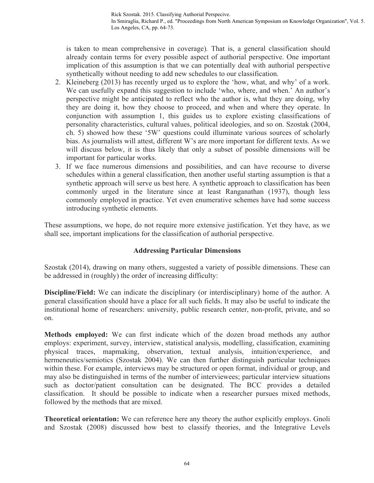In Smiraglia, Richard P., ed. "Proceedings from North American Symposium on Knowledge Organization", Vol. 5. Los Angeles, CA, pp. 64-73.

is taken to mean comprehensive in coverage)*.* That is, a general classification should already contain terms for every possible aspect of authorial perspective. One important implication of this assumption is that we can potentially deal with authorial perspective synthetically without needing to add new schedules to our classification.

- 2. Kleineberg (2013) has recently urged us to explore the 'how, what, and why' of a work. We can usefully expand this suggestion to include 'who, where, and when.' An author's perspective might be anticipated to reflect who the author is, what they are doing, why they are doing it, how they choose to proceed, and when and where they operate. In conjunction with assumption 1, this guides us to explore existing classifications of personality characteristics, cultural values, political ideologies, and so on. Szostak (2004, ch. 5) showed how these '5W' questions could illuminate various sources of scholarly bias. As journalists will attest, different W's are more important for different texts. As we will discuss below, it is thus likely that only a subset of possible dimensions will be important for particular works.
- 3. If we face numerous dimensions and possibilities, and can have recourse to diverse schedules within a general classification, then another useful starting assumption is that a synthetic approach will serve us best here. A synthetic approach to classification has been commonly urged in the literature since at least Ranganathan (1937), though less commonly employed in practice. Yet even enumerative schemes have had some success introducing synthetic elements.

These assumptions, we hope, do not require more extensive justification. Yet they have, as we shall see, important implications for the classification of authorial perspective.

## **Addressing Particular Dimensions**

Szostak (2014), drawing on many others, suggested a variety of possible dimensions. These can be addressed in (roughly) the order of increasing difficulty:

**Discipline/Field:** We can indicate the disciplinary (or interdisciplinary) home of the author. A general classification should have a place for all such fields. It may also be useful to indicate the institutional home of researchers: university, public research center, non-profit, private, and so on.

**Methods employed:** We can first indicate which of the dozen broad methods any author employs: experiment, survey, interview, statistical analysis, modelling, classification, examining physical traces, mapmaking, observation, textual analysis, intuition/experience, and hermeneutics/semiotics (Szostak 2004). We can then further distinguish particular techniques within these. For example, interviews may be structured or open format, individual or group, and may also be distinguished in terms of the number of interviewees; particular interview situations such as doctor/patient consultation can be designated. The BCC provides a detailed classification. It should be possible to indicate when a researcher pursues mixed methods, followed by the methods that are mixed.

**Theoretical orientation:** We can reference here any theory the author explicitly employs. Gnoli and Szostak (2008) discussed how best to classify theories, and the Integrative Levels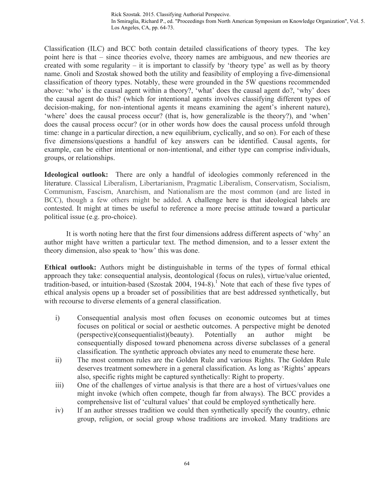Classification (ILC) and BCC both contain detailed classifications of theory types. The key point here is that – since theories evolve, theory names are ambiguous, and new theories are created with some regularity – it is important to classify by 'theory type' as well as by theory name. Gnoli and Szostak showed both the utility and feasibility of employing a five-dimensional classification of theory types. Notably, these were grounded in the 5W questions recommended above: 'who' is the causal agent within a theory?, 'what' does the causal agent do?, 'why' does the causal agent do this? (which for intentional agents involves classifying different types of decision-making, for non-intentional agents it means examining the agent's inherent nature), 'where' does the causal process occur? (that is, how generalizable is the theory?), and 'when' does the causal process occur? (or in other words how does the causal process unfold through time: change in a particular direction, a new equilibrium, cyclically, and so on). For each of these five dimensions/questions a handful of key answers can be identified. Causal agents, for example, can be either intentional or non-intentional, and either type can comprise individuals, groups, or relationships.

**Ideological outlook:** There are only a handful of ideologies commonly referenced in the literature. Classical Liberalism, Libertarianism, Pragmatic Liberalism, Conservatism, Socialism, Communism, Fascism, Anarchism, and Nationalism are the most common (and are listed in BCC), though a few others might be added. A challenge here is that ideological labels are contested. It might at times be useful to reference a more precise attitude toward a particular political issue (e.g. pro-choice).

It is worth noting here that the first four dimensions address different aspects of 'why' an author might have written a particular text. The method dimension, and to a lesser extent the theory dimension, also speak to 'how' this was done.

**Ethical outlook:** Authors might be distinguishable in terms of the types of formal ethical approach they take: consequential analysis, deontological (focus on rules), virtue/value oriented, tradition-based, or intuition-based (Szostak 2004, 194-8). <sup>1</sup> Note that each of these five types of ethical analysis opens up a broader set of possibilities that are best addressed synthetically, but with recourse to diverse elements of a general classification.

- i) Consequential analysis most often focuses on economic outcomes but at times focuses on political or social or aesthetic outcomes. A perspective might be denoted (perspective)(consequentialist)(beauty). Potentially an author might be consequentially disposed toward phenomena across diverse subclasses of a general classification. The synthetic approach obviates any need to enumerate these here.
- ii) The most common rules are the Golden Rule and various Rights. The Golden Rule deserves treatment somewhere in a general classification. As long as 'Rights' appears also, specific rights might be captured synthetically: Right to property.
- iii) One of the challenges of virtue analysis is that there are a host of virtues/values one might invoke (which often compete, though far from always). The BCC provides a comprehensive list of 'cultural values' that could be employed synthetically here.
- iv) If an author stresses tradition we could then synthetically specify the country, ethnic group, religion, or social group whose traditions are invoked. Many traditions are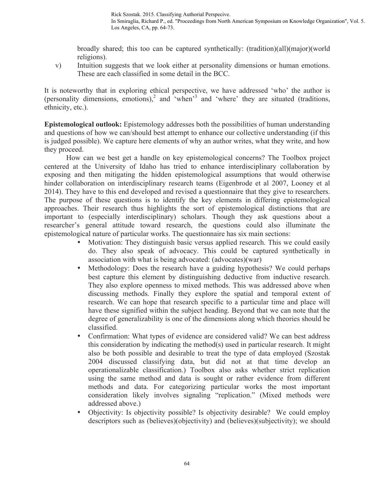In Smiraglia, Richard P., ed. "Proceedings from North American Symposium on Knowledge Organization", Vol. 5. Los Angeles, CA, pp. 64-73.

broadly shared; this too can be captured synthetically: (tradition)(all)(major)(world religions).

v) Intuition suggests that we look either at personality dimensions or human emotions. These are each classified in some detail in the BCC.

It is noteworthy that in exploring ethical perspective, we have addressed 'who' the author is (personality dimensions, emotions),<sup>2</sup> and 'when'<sup>3</sup> and 'where' they are situated (traditions, ethnicity, etc.).

**Epistemological outlook:** Epistemology addresses both the possibilities of human understanding and questions of how we can/should best attempt to enhance our collective understanding (if this is judged possible). We capture here elements of why an author writes, what they write, and how they proceed.

How can we best get a handle on key epistemological concerns? The Toolbox project centered at the University of Idaho has tried to enhance interdisciplinary collaboration by exposing and then mitigating the hidden epistemological assumptions that would otherwise hinder collaboration on interdisciplinary research teams (Eigenbrode et al 2007, Looney et al 2014). They have to this end developed and revised a questionnaire that they give to researchers. The purpose of these questions is to identify the key elements in differing epistemological approaches. Their research thus highlights the sort of epistemological distinctions that are important to (especially interdisciplinary) scholars. Though they ask questions about a researcher's general attitude toward research, the questions could also illuminate the epistemological nature of particular works. The questionnaire has six main sections:

- Motivation: They distinguish basic versus applied research. This we could easily do. They also speak of advocacy. This could be captured synthetically in association with what is being advocated: (advocates)(war)
- Methodology: Does the research have a guiding hypothesis? We could perhaps best capture this element by distinguishing deductive from inductive research. They also explore openness to mixed methods. This was addressed above when discussing methods. Finally they explore the spatial and temporal extent of research. We can hope that research specific to a particular time and place will have these signified within the subject heading. Beyond that we can note that the degree of generalizability is one of the dimensions along which theories should be classified.
- Confirmation: What types of evidence are considered valid? We can best address this consideration by indicating the method(s) used in particular research. It might also be both possible and desirable to treat the type of data employed (Szostak 2004 discussed classifying data, but did not at that time develop an operationalizable classification.) Toolbox also asks whether strict replication using the same method and data is sought or rather evidence from different methods and data. For categorizing particular works the most important consideration likely involves signaling "replication." (Mixed methods were addressed above.)
- Objectivity: Is objectivity possible? Is objectivity desirable? We could employ descriptors such as (believes)(objectivity) and (believes)(subjectivity); we should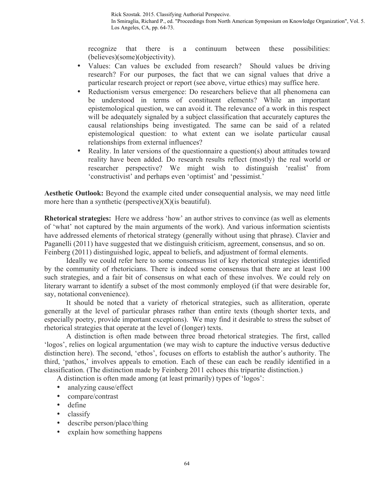recognize that there is a continuum between these possibilities: (believes)(some)(objectivity).

- Values: Can values be excluded from research? Should values be driving research? For our purposes, the fact that we can signal values that drive a particular research project or report (see above, virtue ethics) may suffice here.
- Reductionism versus emergence: Do researchers believe that all phenomena can be understood in terms of constituent elements? While an important epistemological question, we can avoid it. The relevance of a work in this respect will be adequately signaled by a subject classification that accurately captures the causal relationships being investigated. The same can be said of a related epistemological question: to what extent can we isolate particular causal relationships from external influences?
- Reality. In later versions of the questionnaire a question(s) about attitudes toward reality have been added. Do research results reflect (mostly) the real world or researcher perspective? We might wish to distinguish 'realist' from 'constructivist' and perhaps even 'optimist' and 'pessimist.'

**Aesthetic Outlook:** Beyond the example cited under consequential analysis, we may need little more here than a synthetic (perspective) $(X)(i)$  beautiful).

**Rhetorical strategies:** Here we address 'how' an author strives to convince (as well as elements of 'what' not captured by the main arguments of the work). And various information scientists have addressed elements of rhetorical strategy (generally without using that phrase). Clavier and Paganelli (2011) have suggested that we distinguish criticism, agreement, consensus, and so on. Feinberg (2011) distinguished logic, appeal to beliefs, and adjustment of formal elements.

Ideally we could refer here to some consensus list of key rhetorical strategies identified by the community of rhetoricians. There is indeed some consensus that there are at least 100 such strategies, and a fair bit of consensus on what each of these involves. We could rely on literary warrant to identify a subset of the most commonly employed (if that were desirable for, say, notational convenience).

It should be noted that a variety of rhetorical strategies, such as alliteration, operate generally at the level of particular phrases rather than entire texts (though shorter texts, and especially poetry, provide important exceptions). We may find it desirable to stress the subset of rhetorical strategies that operate at the level of (longer) texts.

A distinction is often made between three broad rhetorical strategies. The first, called 'logos', relies on logical argumentation (we may wish to capture the inductive versus deductive distinction here). The second, 'ethos', focuses on efforts to establish the author's authority. The third, 'pathos,' involves appeals to emotion. Each of these can each be readily identified in a classification. (The distinction made by Feinberg 2011 echoes this tripartite distinction.)

A distinction is often made among (at least primarily) types of 'logos':

- analyzing cause/effect
- compare/contrast
- define
- classify
- describe person/place/thing
- explain how something happens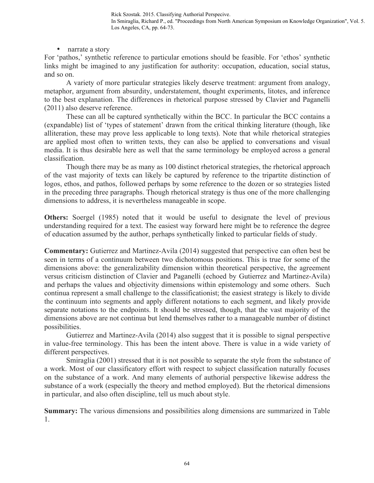In Smiraglia, Richard P., ed. "Proceedings from North American Symposium on Knowledge Organization", Vol. 5. Los Angeles, CA, pp. 64-73.

• narrate a story

For 'pathos,' synthetic reference to particular emotions should be feasible. For 'ethos' synthetic links might be imagined to any justification for authority: occupation, education, social status, and so on.

A variety of more particular strategies likely deserve treatment: argument from analogy, metaphor, argument from absurdity, understatement, thought experiments, litotes, and inference to the best explanation. The differences in rhetorical purpose stressed by Clavier and Paganelli (2011) also deserve reference.

These can all be captured synthetically within the BCC. In particular the BCC contains a (expandable) list of 'types of statement' drawn from the critical thinking literature (though, like alliteration, these may prove less applicable to long texts). Note that while rhetorical strategies are applied most often to written texts, they can also be applied to conversations and visual media. It is thus desirable here as well that the same terminology be employed across a general classification.

Though there may be as many as 100 distinct rhetorical strategies, the rhetorical approach of the vast majority of texts can likely be captured by reference to the tripartite distinction of logos, ethos, and pathos, followed perhaps by some reference to the dozen or so strategies listed in the preceding three paragraphs. Though rhetorical strategy is thus one of the more challenging dimensions to address, it is nevertheless manageable in scope.

**Others:** Soergel (1985) noted that it would be useful to designate the level of previous understanding required for a text. The easiest way forward here might be to reference the degree of education assumed by the author, perhaps synthetically linked to particular fields of study.

**Commentary:** Gutierrez and Martinez-Avila (2014) suggested that perspective can often best be seen in terms of a continuum between two dichotomous positions. This is true for some of the dimensions above: the generalizability dimension within theoretical perspective, the agreement versus criticism distinction of Clavier and Paganelli (echoed by Gutierrez and Martinez-Avila) and perhaps the values and objectivity dimensions within epistemology and some others. Such continua represent a small challenge to the classificationist; the easiest strategy is likely to divide the continuum into segments and apply different notations to each segment, and likely provide separate notations to the endpoints. It should be stressed, though, that the vast majority of the dimensions above are not continua but lend themselves rather to a manageable number of distinct possibilities.

Gutierrez and Martinez-Avila (2014) also suggest that it is possible to signal perspective in value-free terminology. This has been the intent above. There is value in a wide variety of different perspectives.

Smiraglia (2001) stressed that it is not possible to separate the style from the substance of a work. Most of our classificatory effort with respect to subject classification naturally focuses on the substance of a work. And many elements of authorial perspective likewise address the substance of a work (especially the theory and method employed). But the rhetorical dimensions in particular, and also often discipline, tell us much about style.

**Summary:** The various dimensions and possibilities along dimensions are summarized in Table 1.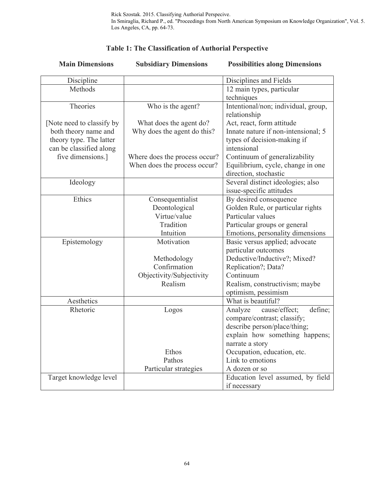| <b>Main Dimensions</b>    | <b>Subsidiary Dimensions</b>  | <b>Possibilities along Dimensions</b> |
|---------------------------|-------------------------------|---------------------------------------|
| Discipline                |                               | Disciplines and Fields                |
| Methods                   |                               | 12 main types, particular             |
|                           |                               | techniques                            |
| Theories                  | Who is the agent?             | Intentional/non; individual, group,   |
|                           |                               | relationship                          |
| [Note need to classify by | What does the agent do?       | Act, react, form attitude             |
| both theory name and      | Why does the agent do this?   | Innate nature if non-intensional; 5   |
| theory type. The latter   |                               | types of decision-making if           |
| can be classified along   |                               | intensional                           |
| five dimensions.]         | Where does the process occur? | Continuum of generalizability         |
|                           | When does the process occur?  | Equilibrium, cycle, change in one     |
|                           |                               | direction, stochastic                 |
| Ideology                  |                               | Several distinct ideologies; also     |
|                           |                               | issue-specific attitudes              |
| Ethics                    | Consequentialist              | By desired consequence                |
|                           | Deontological                 | Golden Rule, or particular rights     |
|                           | Virtue/value                  | Particular values                     |
|                           | Tradition                     | Particular groups or general          |
|                           | Intuition                     | Emotions, personality dimensions      |
| Epistemology              | Motivation                    | Basic versus applied; advocate        |
|                           |                               | particular outcomes                   |
|                           | Methodology                   | Deductive/Inductive?; Mixed?          |
|                           | Confirmation                  | Replication?; Data?                   |
|                           | Objectivity/Subjectivity      | Continuum                             |
|                           | Realism                       | Realism, constructivism; maybe        |
|                           |                               | optimism, pessimism                   |
| Aesthetics                |                               | What is beautiful?                    |
| Rhetoric                  | Logos                         | define;<br>Analyze<br>cause/effect;   |
|                           |                               | compare/contrast; classify;           |
|                           |                               | describe person/place/thing;          |
|                           |                               | explain how something happens;        |
|                           |                               | narrate a story                       |
|                           | Ethos                         | Occupation, education, etc.           |
|                           | Pathos                        | Link to emotions                      |
|                           | Particular strategies         | A dozen or so                         |
| Target knowledge level    |                               | Education level assumed, by field     |
|                           |                               | if necessary                          |

# **Table 1: The Classification of Authorial Perspective**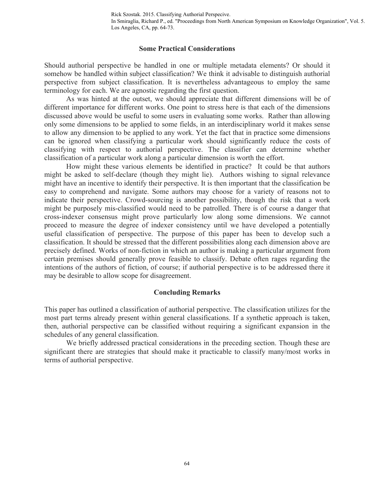#### **Some Practical Considerations**

Should authorial perspective be handled in one or multiple metadata elements? Or should it somehow be handled within subject classification? We think it advisable to distinguish authorial perspective from subject classification. It is nevertheless advantageous to employ the same terminology for each. We are agnostic regarding the first question.

As was hinted at the outset, we should appreciate that different dimensions will be of different importance for different works. One point to stress here is that each of the dimensions discussed above would be useful to some users in evaluating some works. Rather than allowing only some dimensions to be applied to some fields, in an interdisciplinary world it makes sense to allow any dimension to be applied to any work. Yet the fact that in practice some dimensions can be ignored when classifying a particular work should significantly reduce the costs of classifying with respect to authorial perspective. The classifier can determine whether classification of a particular work along a particular dimension is worth the effort.

How might these various elements be identified in practice? It could be that authors might be asked to self-declare (though they might lie). Authors wishing to signal relevance might have an incentive to identify their perspective. It is then important that the classification be easy to comprehend and navigate. Some authors may choose for a variety of reasons not to indicate their perspective. Crowd-sourcing is another possibility, though the risk that a work might be purposely mis-classified would need to be patrolled. There is of course a danger that cross-indexer consensus might prove particularly low along some dimensions. We cannot proceed to measure the degree of indexer consistency until we have developed a potentially useful classification of perspective. The purpose of this paper has been to develop such a classification. It should be stressed that the different possibilities along each dimension above are precisely defined. Works of non-fiction in which an author is making a particular argument from certain premises should generally prove feasible to classify. Debate often rages regarding the intentions of the authors of fiction, of course; if authorial perspective is to be addressed there it may be desirable to allow scope for disagreement.

#### **Concluding Remarks**

This paper has outlined a classification of authorial perspective. The classification utilizes for the most part terms already present within general classifications. If a synthetic approach is taken, then, authorial perspective can be classified without requiring a significant expansion in the schedules of any general classification.

We briefly addressed practical considerations in the preceding section. Though these are significant there are strategies that should make it practicable to classify many/most works in terms of authorial perspective.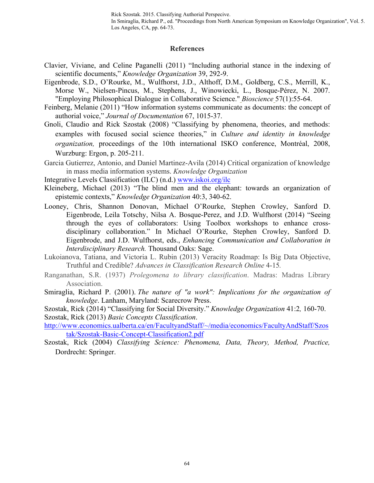In Smiraglia, Richard P., ed. "Proceedings from North American Symposium on Knowledge Organization", Vol. 5. Los Angeles, CA, pp. 64-73.

#### **References**

- Clavier, Viviane, and Celine Paganelli (2011) "Including authorial stance in the indexing of scientific documents," *Knowledge Organization* 39, 292-9.
- Eigenbrode, S.D., O'Rourke, M., Wulfhorst, J.D., Althoff, D.M., Goldberg, C.S., Merrill, K., Morse W., Nielsen-Pincus, M., Stephens, J., Winowiecki, L., Bosque-Pérez, N. 2007. "Employing Philosophical Dialogue in Collaborative Science." *Bioscience* 57(1):55-64.
- Feinberg, Melanie (2011) "How information systems communicate as documents: the concept of authorial voice," *Journal of Documentation* 67, 1015-37.
- Gnoli, Claudio and Rick Szostak (2008) "Classifying by phenomena, theories, and methods: examples with focused social science theories," in *Culture and identity in knowledge organization,* proceedings of the 10th international ISKO conference, Montréal, 2008, Wurzburg: Ergon, p. 205-211.
- Garcia Gutierrez, Antonio, and Daniel Martinez-Avila (2014) Critical organization of knowledge in mass media information systems. *Knowledge Organization*

Integrative Levels Classification (ILC) (n.d.) www.iskoi.org/ilc

- Kleineberg, Michael (2013) "The blind men and the elephant: towards an organization of epistemic contexts," *Knowledge Organization* 40:3, 340-62.
- Looney, Chris, Shannon Donovan, Michael O'Rourke, Stephen Crowley, Sanford D. Eigenbrode, Leila Totschy, Nilsa A. Bosque-Perez, and J.D. Wulfhorst (2014) "Seeing through the eyes of collaborators: Using Toolbox workshops to enhance crossdisciplinary collaboration." In Michael O'Rourke, Stephen Crowley, Sanford D. Eigenbrode, and J.D. Wulfhorst, eds., *Enhancing Communication and Collaboration in Interdisciplinary Research.* Thousand Oaks: Sage.
- Lukoianova, Tatiana, and Victoria L. Rubin (2013) Veracity Roadmap: Is Big Data Objective, Truthful and Credible? *Advances in Classification Research Online* 4-15*.*
- Ranganathan, S.R. (1937) *Prolegomena to library classification*. Madras: Madras Library Association.
- Smiraglia, Richard P. (2001). *The nature of "a work": Implications for the organization of knowledge*. Lanham, Maryland: Scarecrow Press.
- Szostak, Rick (2014) "Classifying for Social Diversity." *Knowledge Organization* 41:2*,* 160-70. Szostak, Rick (2013) *Basic Concepts Classification*.

http://www.economics.ualberta.ca/en/FacultyandStaff/~/media/economics/FacultyAndStaff/Szos tak/Szostak-Basic-Concept-Classification2.pdf

Szostak, Rick (2004) *Classifying Science: Phenomena, Data, Theory, Method, Practice,* Dordrecht: Springer.